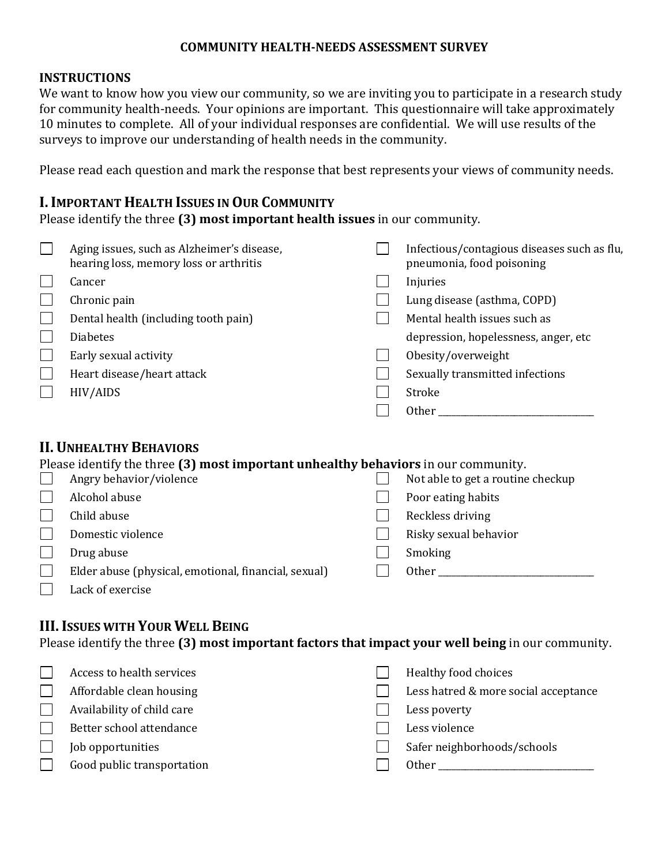#### **COMMUNITY HEALTH-NEEDS ASSESSMENT SURVEY**

### **INSTRUCTIONS**

We want to know how you view our community, so we are inviting you to participate in a research study for community health-needs. Your opinions are important. This questionnaire will take approximately 10 minutes to complete. All of your individual responses are confidential. We will use results of the surveys to improve our understanding of health needs in the community.

Please read each question and mark the response that best represents your views of community needs.

### **I.IMPORTANT HEALTH ISSUES IN OUR COMMUNITY**

Please identify the three **(3) most important health issues** in our community.

| Aging issues, such as Alzheimer's disease,<br>hearing loss, memory loss or arthritis | Infectious/contagious diseases such as flu,<br>pneumonia, food poisoning |
|--------------------------------------------------------------------------------------|--------------------------------------------------------------------------|
| Cancer                                                                               | Injuries                                                                 |
| Chronic pain                                                                         | Lung disease (asthma, COPD)                                              |
| Dental health (including tooth pain)                                                 | Mental health issues such as                                             |
| <b>Diabetes</b>                                                                      | depression, hopelessness, anger, etc                                     |
| Early sexual activity                                                                | Obesity/overweight                                                       |
| Heart disease/heart attack                                                           | Sexually transmitted infections                                          |
| HIV/AIDS                                                                             | Stroke                                                                   |
|                                                                                      | <b>Other</b>                                                             |

# **II. UNHEALTHY BEHAVIORS**

| Please identify the three (3) most important unhealthy behaviors in our community. |                                                      |  |                                   |  |
|------------------------------------------------------------------------------------|------------------------------------------------------|--|-----------------------------------|--|
|                                                                                    | Angry behavior/violence                              |  | Not able to get a routine checkup |  |
|                                                                                    | Alcohol abuse                                        |  | Poor eating habits                |  |
|                                                                                    | Child abuse                                          |  | Reckless driving                  |  |
|                                                                                    | Domestic violence                                    |  | Risky sexual behavior             |  |
|                                                                                    | Drug abuse                                           |  | Smoking                           |  |
|                                                                                    | Elder abuse (physical, emotional, financial, sexual) |  | <b>Other</b>                      |  |
|                                                                                    | Lack of exercise                                     |  |                                   |  |

### **III.ISSUES WITH YOUR WELL BEING**

Please identify the three **(3) most important factors that impact your well being** in our community.

| Access to health services  | Healthy food choices                 |
|----------------------------|--------------------------------------|
| Affordable clean housing   | Less hatred & more social acceptance |
| Availability of child care | Less poverty                         |
| Better school attendance   | Less violence                        |
| Job opportunities          | Safer neighborhoods/schools          |
| Good public transportation | Other                                |
|                            |                                      |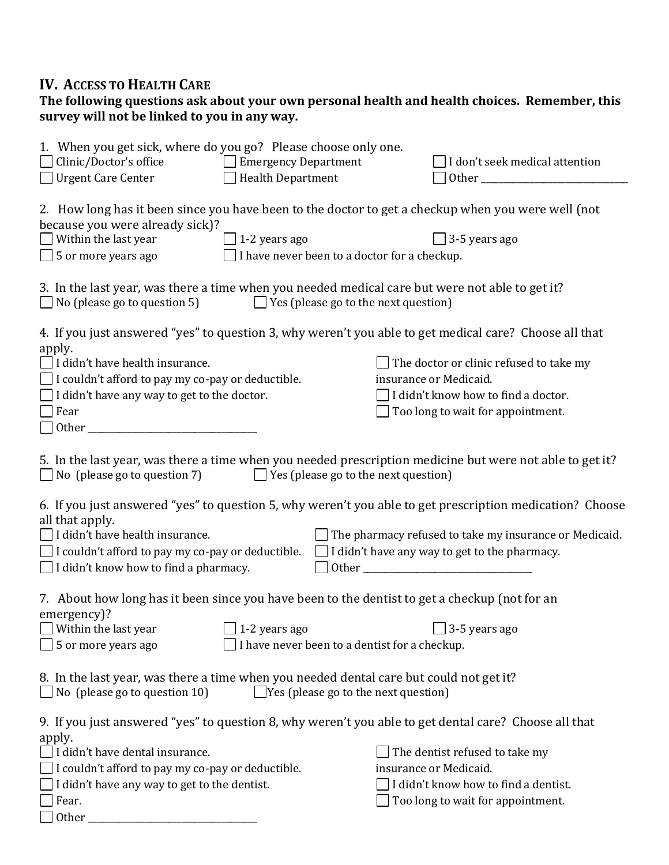### **IV. ACCESS TO HEALTH CARE**

#### **The following questions ask about your own personal health and health choices. Remember, this survey will not be linked to you in any way.**

| 1. When you get sick, where do you go? Please choose only one.<br>I don't seek medical attention                                                                                                                                                              |  |  |  |  |
|---------------------------------------------------------------------------------------------------------------------------------------------------------------------------------------------------------------------------------------------------------------|--|--|--|--|
| 2. How long has it been since you have been to the doctor to get a checkup when you were well (not<br>$\Box$ 3-5 years ago<br>I have never been to a doctor for a checkup.                                                                                    |  |  |  |  |
| $\Box$ 5 or more years ago<br>3. In the last year, was there a time when you needed medical care but were not able to get it?<br>$\Box$ No (please go to question 5)<br>$\Box$ Yes (please go to the next question)                                           |  |  |  |  |
| 4. If you just answered "yes" to question 3, why weren't you able to get medical care? Choose all that                                                                                                                                                        |  |  |  |  |
| The doctor or clinic refused to take my<br>insurance or Medicaid.<br>$\Box$ I didn't know how to find a doctor.<br>Too long to wait for appointment.                                                                                                          |  |  |  |  |
| 5. In the last year, was there a time when you needed prescription medicine but were not able to get it?<br>$\Box$ No (please go to question 7) $\Box$ Yes (please go to the next question)                                                                   |  |  |  |  |
| 6. If you just answered "yes" to question 5, why weren't you able to get prescription medication? Choose<br>The pharmacy refused to take my insurance or Medicaid.<br>$\Box$ I didn't have any way to get to the pharmacy.                                    |  |  |  |  |
| 7. About how long has it been since you have been to the dentist to get a checkup (not for an<br>emergency)?<br>$\Box$ Within the last year $\Box$ 1-2 years ago $\Box$ 3-5 years ago<br>5 or more years ago<br>I have never been to a dentist for a checkup. |  |  |  |  |
| 8. In the last year, was there a time when you needed dental care but could not get it?<br>$\Box$ Yes (please go to the next question)                                                                                                                        |  |  |  |  |
| 9. If you just answered "yes" to question 8, why weren't you able to get dental care? Choose all that<br>The dentist refused to take my<br>insurance or Medicaid.<br>I didn't know how to find a dentist.<br>Too long to wait for appointment.                |  |  |  |  |
|                                                                                                                                                                                                                                                               |  |  |  |  |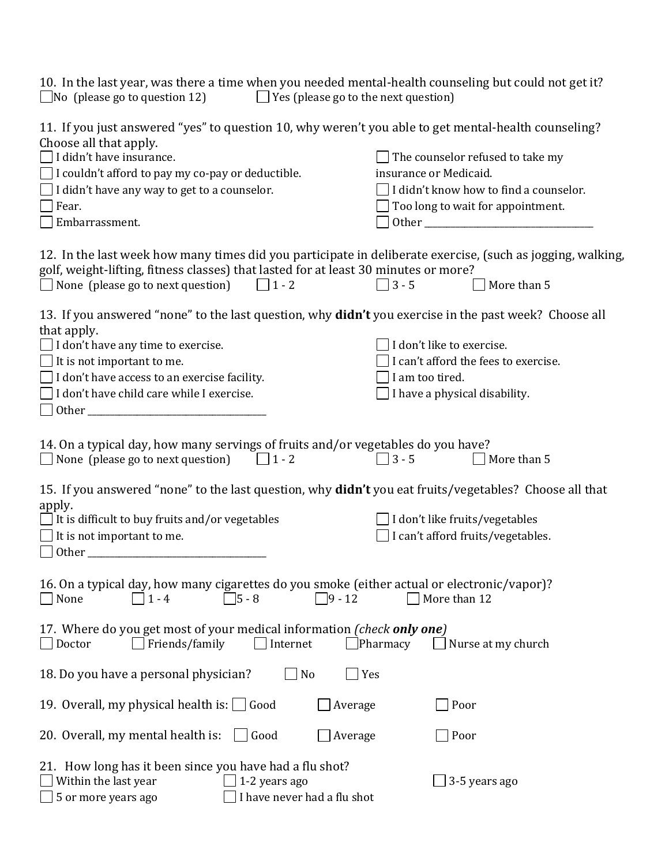| $\Box$ No (please go to question 12) | 10. In the last year, was there a time when you needed mental-health counseling but could not get it?<br>$\Box$ Yes (please go to the next question) |
|--------------------------------------|------------------------------------------------------------------------------------------------------------------------------------------------------|
| Choose all that apply.               | 11. If you just answered "yes" to question 10, why weren't you able to get mental-health counseling?                                                 |

| I didn't have insurance.                                                                                                                                                                          | The counselor refused to take my       |
|---------------------------------------------------------------------------------------------------------------------------------------------------------------------------------------------------|----------------------------------------|
| I couldn't afford to pay my co-pay or deductible.                                                                                                                                                 | insurance or Medicaid.                 |
| I didn't have any way to get to a counselor.                                                                                                                                                      | I didn't know how to find a counselor. |
| Fear.                                                                                                                                                                                             | Too long to wait for appointment.      |
| Embarrassment.                                                                                                                                                                                    |                                        |
|                                                                                                                                                                                                   |                                        |
| 12. In the last week how many times did you participate in deliberate exercise, (such as jogging, walking,<br>golf, weight-lifting, fitness classes) that lasted for at least 30 minutes or more? |                                        |
| None (please go to next question) $\Box$ 1 - 2                                                                                                                                                    | $\Box$ 3 - 5<br>More than 5            |
|                                                                                                                                                                                                   |                                        |
| 13. If you answered "none" to the last question, why <b>didn't</b> you exercise in the past week? Choose all<br>that apply.                                                                       |                                        |
| $\Box$ I don't have any time to exercise.                                                                                                                                                         | I don't like to exercise.              |
| $\Box$ It is not important to me.                                                                                                                                                                 | I can't afford the fees to exercise.   |
| I don't have access to an exercise facility.                                                                                                                                                      | I am too tired.                        |
| I don't have child care while I exercise.                                                                                                                                                         | I have a physical disability.          |
|                                                                                                                                                                                                   |                                        |
|                                                                                                                                                                                                   |                                        |
| 14. On a typical day, how many servings of fruits and/or vegetables do you have?                                                                                                                  |                                        |
| $\Box$ None (please go to next question)<br>$\Box$ 1 - 2                                                                                                                                          | $3 - 5$<br>$\Box$ More than 5          |
|                                                                                                                                                                                                   |                                        |
| 15. If you answered "none" to the last question, why didn't you eat fruits/vegetables? Choose all that<br>apply.                                                                                  |                                        |
| $\Box$ It is difficult to buy fruits and/or vegetables                                                                                                                                            | $\Box$ I don't like fruits/vegetables  |
| It is not important to me.                                                                                                                                                                        | I can't afford fruits/vegetables.      |
|                                                                                                                                                                                                   |                                        |
|                                                                                                                                                                                                   |                                        |
| 16. On a typical day, how many cigarettes do you smoke (either actual or electronic/vapor)?                                                                                                       |                                        |
| $\Box$ 9 - 12<br>$\Box$ 1 - 4<br>$\Box$ 5 - 8<br>None                                                                                                                                             | $\Box$ More than 12                    |
|                                                                                                                                                                                                   |                                        |
| 17. Where do you get most of your medical information (check only one)                                                                                                                            |                                        |
| Friends/family<br>Doctor<br>Internet                                                                                                                                                              | Pharmacy<br>Nurse at my church         |
|                                                                                                                                                                                                   |                                        |
| 18. Do you have a personal physician?<br>No                                                                                                                                                       | Yes                                    |
|                                                                                                                                                                                                   |                                        |
| 19. Overall, my physical health is: $\Box$ Good<br>Average                                                                                                                                        | Poor                                   |
|                                                                                                                                                                                                   |                                        |
| 20. Overall, my mental health is:<br>Good<br>Average                                                                                                                                              | Poor                                   |
|                                                                                                                                                                                                   |                                        |
| 21. How long has it been since you have had a flu shot?                                                                                                                                           |                                        |
| Within the last year<br>1-2 years ago                                                                                                                                                             | 3-5 years ago                          |
| 5 or more years ago<br>I have never had a flu shot                                                                                                                                                |                                        |